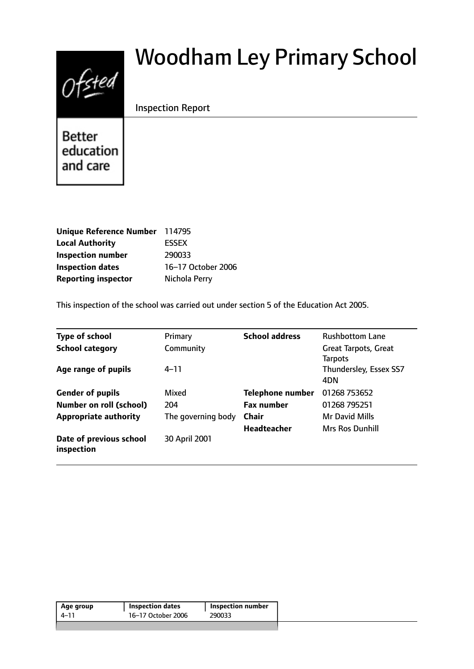# $0$ fsted

# Woodham Ley Primary School

# Inspection Report

**Better** education and care

| Unique Reference Number 114795 |                    |
|--------------------------------|--------------------|
| <b>Local Authority</b>         | <b>ESSEX</b>       |
| <b>Inspection number</b>       | 290033             |
| <b>Inspection dates</b>        | 16-17 October 2006 |
| <b>Reporting inspector</b>     | Nichola Perry      |

This inspection of the school was carried out under section 5 of the Education Act 2005.

| <b>Type of school</b>                 | Primary            | <b>School address</b>   | <b>Rushbottom Lane</b> |
|---------------------------------------|--------------------|-------------------------|------------------------|
| <b>School category</b>                | Community          |                         | Great Tarpots, Great   |
|                                       |                    |                         | <b>Tarpots</b>         |
| Age range of pupils                   | $4 - 11$           |                         | Thundersley, Essex SS7 |
|                                       |                    |                         | 4DN                    |
| <b>Gender of pupils</b>               | Mixed              | <b>Telephone number</b> | 01268 753652           |
| <b>Number on roll (school)</b>        | 204                | <b>Fax number</b>       | 01268 795251           |
| <b>Appropriate authority</b>          | The governing body | <b>Chair</b>            | <b>Mr David Mills</b>  |
|                                       |                    | <b>Headteacher</b>      | Mrs Ros Dunhill        |
| Date of previous school<br>inspection | 30 April 2001      |                         |                        |

| 16–17 October 2006<br>4-11<br>290033 | Age group | ' Inspection dates | <b>Inspection number</b> |  |
|--------------------------------------|-----------|--------------------|--------------------------|--|
|                                      |           |                    |                          |  |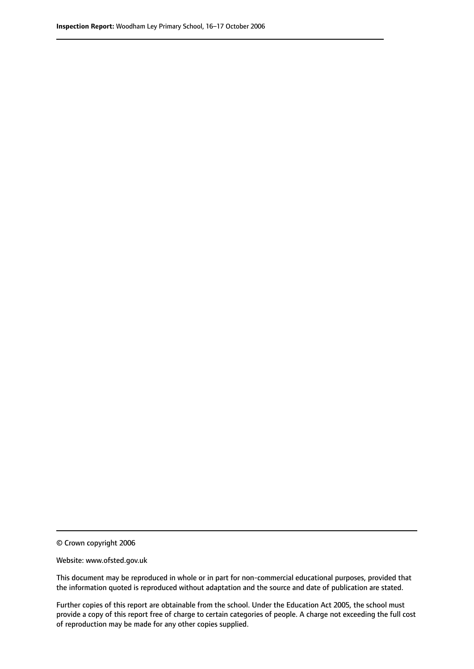© Crown copyright 2006

Website: www.ofsted.gov.uk

This document may be reproduced in whole or in part for non-commercial educational purposes, provided that the information quoted is reproduced without adaptation and the source and date of publication are stated.

Further copies of this report are obtainable from the school. Under the Education Act 2005, the school must provide a copy of this report free of charge to certain categories of people. A charge not exceeding the full cost of reproduction may be made for any other copies supplied.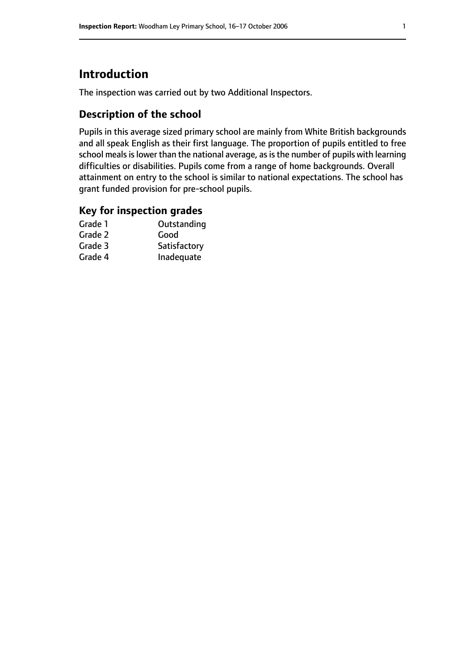# **Introduction**

The inspection was carried out by two Additional Inspectors.

# **Description of the school**

Pupils in this average sized primary school are mainly from White British backgrounds and all speak English as their first language. The proportion of pupils entitled to free school meals is lower than the national average, as is the number of pupils with learning difficulties or disabilities. Pupils come from a range of home backgrounds. Overall attainment on entry to the school is similar to national expectations. The school has grant funded provision for pre-school pupils.

### **Key for inspection grades**

| Outstanding  |
|--------------|
| Good         |
| Satisfactory |
| Inadequate   |
|              |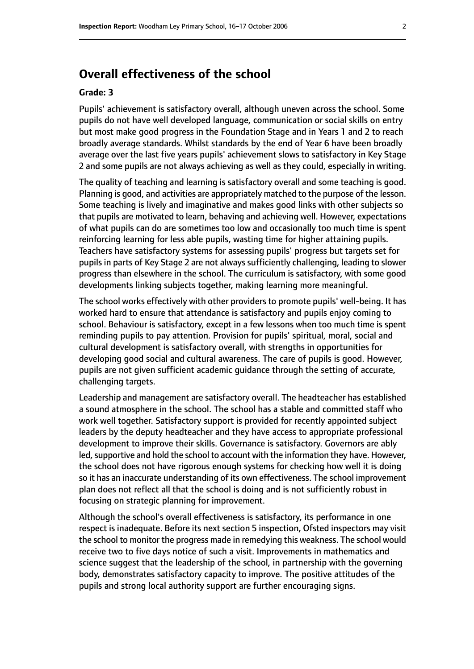# **Overall effectiveness of the school**

#### **Grade: 3**

Pupils' achievement is satisfactory overall, although uneven across the school. Some pupils do not have well developed language, communication or social skills on entry but most make good progress in the Foundation Stage and in Years 1 and 2 to reach broadly average standards. Whilst standards by the end of Year 6 have been broadly average over the last five years pupils' achievement slows to satisfactory in Key Stage 2 and some pupils are not always achieving as well as they could, especially in writing.

The quality of teaching and learning is satisfactory overall and some teaching is good. Planning is good, and activities are appropriately matched to the purpose of the lesson. Some teaching is lively and imaginative and makes good links with other subjects so that pupils are motivated to learn, behaving and achieving well. However, expectations of what pupils can do are sometimes too low and occasionally too much time is spent reinforcing learning for less able pupils, wasting time for higher attaining pupils. Teachers have satisfactory systems for assessing pupils' progress but targets set for pupils in parts of Key Stage 2 are not always sufficiently challenging, leading to slower progress than elsewhere in the school. The curriculum is satisfactory, with some good developments linking subjects together, making learning more meaningful.

The school works effectively with other providers to promote pupils' well-being. It has worked hard to ensure that attendance is satisfactory and pupils enjoy coming to school. Behaviour is satisfactory, except in a few lessons when too much time is spent reminding pupils to pay attention. Provision for pupils' spiritual, moral, social and cultural development is satisfactory overall, with strengths in opportunities for developing good social and cultural awareness. The care of pupils is good. However, pupils are not given sufficient academic guidance through the setting of accurate, challenging targets.

Leadership and management are satisfactory overall. The headteacher has established a sound atmosphere in the school. The school has a stable and committed staff who work well together. Satisfactory support is provided for recently appointed subject leaders by the deputy headteacher and they have access to appropriate professional development to improve their skills. Governance is satisfactory. Governors are ably led, supportive and hold the school to account with the information they have. However, the school does not have rigorous enough systems for checking how well it is doing so it has an inaccurate understanding of its own effectiveness. The school improvement plan does not reflect all that the school is doing and is not sufficiently robust in focusing on strategic planning for improvement.

Although the school's overall effectiveness is satisfactory, its performance in one respect is inadequate. Before its next section 5 inspection, Ofsted inspectors may visit the school to monitor the progress made in remedying this weakness. The school would receive two to five days notice of such a visit. Improvements in mathematics and science suggest that the leadership of the school, in partnership with the governing body, demonstrates satisfactory capacity to improve. The positive attitudes of the pupils and strong local authority support are further encouraging signs.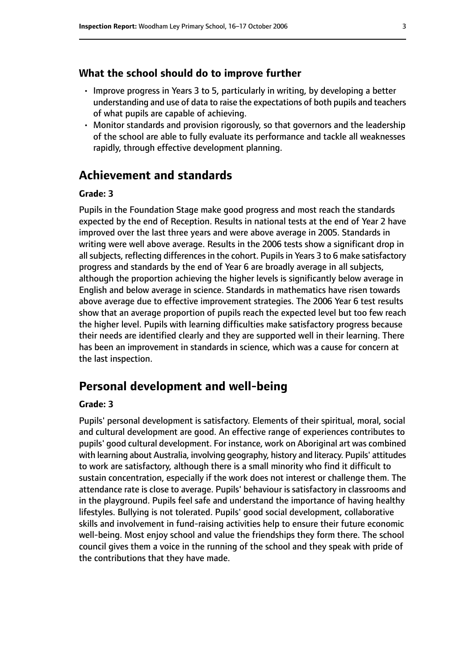#### **What the school should do to improve further**

- Improve progress in Years 3 to 5, particularly in writing, by developing a better understanding and use of data to raise the expectations of both pupils and teachers of what pupils are capable of achieving.
- Monitor standards and provision rigorously, so that governors and the leadership of the school are able to fully evaluate its performance and tackle all weaknesses rapidly, through effective development planning.

# **Achievement and standards**

#### **Grade: 3**

Pupils in the Foundation Stage make good progress and most reach the standards expected by the end of Reception. Results in national tests at the end of Year 2 have improved over the last three years and were above average in 2005. Standards in writing were well above average. Results in the 2006 tests show a significant drop in all subjects, reflecting differences in the cohort. Pupils in Years 3 to 6 make satisfactory progress and standards by the end of Year 6 are broadly average in all subjects, although the proportion achieving the higher levels is significantly below average in English and below average in science. Standards in mathematics have risen towards above average due to effective improvement strategies. The 2006 Year 6 test results show that an average proportion of pupils reach the expected level but too few reach the higher level. Pupils with learning difficulties make satisfactory progress because their needs are identified clearly and they are supported well in their learning. There has been an improvement in standards in science, which was a cause for concern at the last inspection.

# **Personal development and well-being**

#### **Grade: 3**

Pupils' personal development is satisfactory. Elements of their spiritual, moral, social and cultural development are good. An effective range of experiences contributes to pupils' good cultural development. For instance, work on Aboriginal art was combined with learning about Australia, involving geography, history and literacy. Pupils' attitudes to work are satisfactory, although there is a small minority who find it difficult to sustain concentration, especially if the work does not interest or challenge them. The attendance rate is close to average. Pupils' behaviour is satisfactory in classrooms and in the playground. Pupils feel safe and understand the importance of having healthy lifestyles. Bullying is not tolerated. Pupils' good social development, collaborative skills and involvement in fund-raising activities help to ensure their future economic well-being. Most enjoy school and value the friendships they form there. The school council gives them a voice in the running of the school and they speak with pride of the contributions that they have made.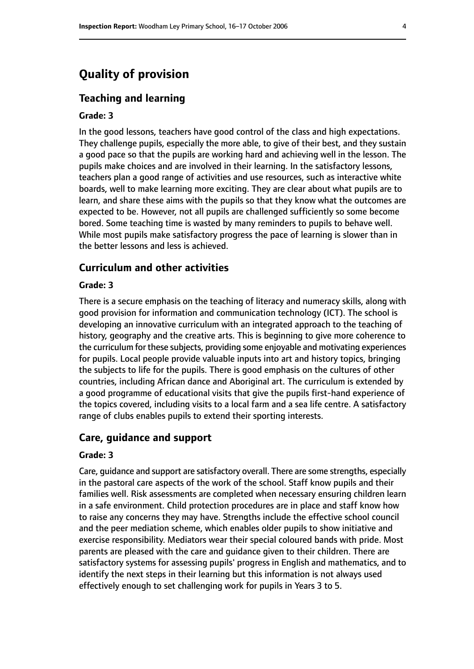# **Quality of provision**

#### **Teaching and learning**

#### **Grade: 3**

In the good lessons, teachers have good control of the class and high expectations. They challenge pupils, especially the more able, to give of their best, and they sustain a good pace so that the pupils are working hard and achieving well in the lesson. The pupils make choices and are involved in their learning. In the satisfactory lessons, teachers plan a good range of activities and use resources, such as interactive white boards, well to make learning more exciting. They are clear about what pupils are to learn, and share these aims with the pupils so that they know what the outcomes are expected to be. However, not all pupils are challenged sufficiently so some become bored. Some teaching time is wasted by many reminders to pupils to behave well. While most pupils make satisfactory progress the pace of learning is slower than in the better lessons and less is achieved.

## **Curriculum and other activities**

#### **Grade: 3**

There is a secure emphasis on the teaching of literacy and numeracy skills, along with good provision for information and communication technology (ICT). The school is developing an innovative curriculum with an integrated approach to the teaching of history, geography and the creative arts. This is beginning to give more coherence to the curriculum for these subjects, providing some enjoyable and motivating experiences for pupils. Local people provide valuable inputs into art and history topics, bringing the subjects to life for the pupils. There is good emphasis on the cultures of other countries, including African dance and Aboriginal art. The curriculum is extended by a good programme of educational visits that give the pupils first-hand experience of the topics covered, including visits to a local farm and a sea life centre. A satisfactory range of clubs enables pupils to extend their sporting interests.

#### **Care, guidance and support**

#### **Grade: 3**

Care, guidance and support are satisfactory overall. There are some strengths, especially in the pastoral care aspects of the work of the school. Staff know pupils and their families well. Risk assessments are completed when necessary ensuring children learn in a safe environment. Child protection procedures are in place and staff know how to raise any concerns they may have. Strengths include the effective school council and the peer mediation scheme, which enables older pupils to show initiative and exercise responsibility. Mediators wear their special coloured bands with pride. Most parents are pleased with the care and guidance given to their children. There are satisfactory systems for assessing pupils' progress in English and mathematics, and to identify the next steps in their learning but this information is not always used effectively enough to set challenging work for pupils in Years 3 to 5.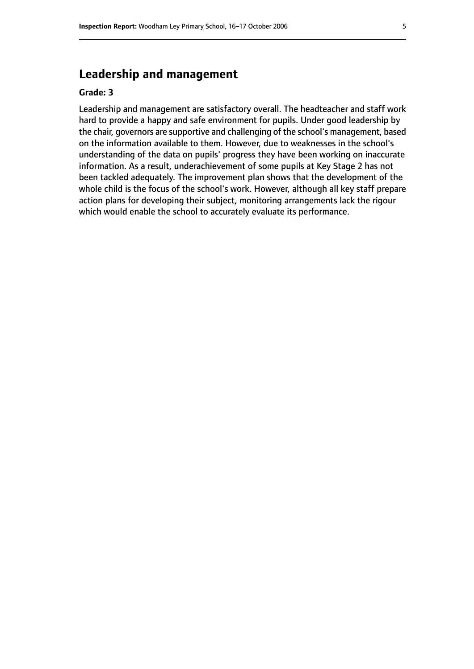# **Leadership and management**

#### **Grade: 3**

Leadership and management are satisfactory overall. The headteacher and staff work hard to provide a happy and safe environment for pupils. Under good leadership by the chair, governors are supportive and challenging of the school's management, based on the information available to them. However, due to weaknesses in the school's understanding of the data on pupils' progress they have been working on inaccurate information. As a result, underachievement of some pupils at Key Stage 2 has not been tackled adequately. The improvement plan shows that the development of the whole child is the focus of the school's work. However, although all key staff prepare action plans for developing their subject, monitoring arrangements lack the rigour which would enable the school to accurately evaluate its performance.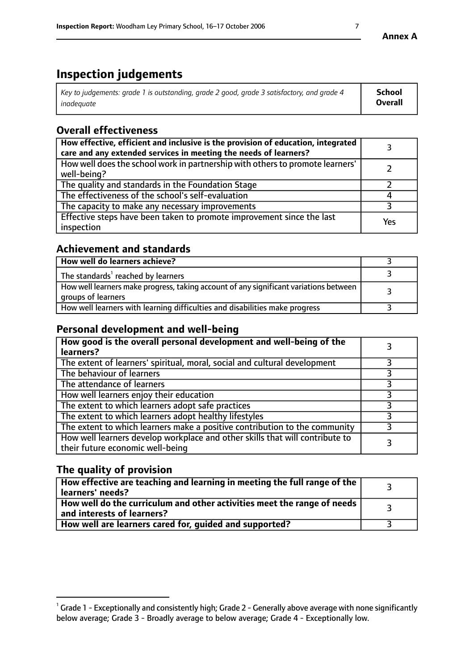# **Inspection judgements**

| Key to judgements: grade 1 is outstanding, grade 2 good, grade 3 satisfactory, and grade 4 | <b>School</b>  |
|--------------------------------------------------------------------------------------------|----------------|
| inadeauate                                                                                 | <b>Overall</b> |

# **Overall effectiveness**

| How effective, efficient and inclusive is the provision of education, integrated<br>care and any extended services in meeting the needs of learners? |     |
|------------------------------------------------------------------------------------------------------------------------------------------------------|-----|
| How well does the school work in partnership with others to promote learners'<br>well-being?                                                         |     |
| The quality and standards in the Foundation Stage                                                                                                    |     |
| The effectiveness of the school's self-evaluation                                                                                                    |     |
| The capacity to make any necessary improvements                                                                                                      |     |
| Effective steps have been taken to promote improvement since the last<br>inspection                                                                  | Yes |

# **Achievement and standards**

| How well do learners achieve?                                                                               |  |
|-------------------------------------------------------------------------------------------------------------|--|
| The standards <sup>1</sup> reached by learners                                                              |  |
| How well learners make progress, taking account of any significant variations between<br>groups of learners |  |
| How well learners with learning difficulties and disabilities make progress                                 |  |

# **Personal development and well-being**

| How good is the overall personal development and well-being of the<br>learners?                                  |  |
|------------------------------------------------------------------------------------------------------------------|--|
| The extent of learners' spiritual, moral, social and cultural development                                        |  |
| The behaviour of learners                                                                                        |  |
| The attendance of learners                                                                                       |  |
| How well learners enjoy their education                                                                          |  |
| The extent to which learners adopt safe practices                                                                |  |
| The extent to which learners adopt healthy lifestyles                                                            |  |
| The extent to which learners make a positive contribution to the community                                       |  |
| How well learners develop workplace and other skills that will contribute to<br>their future economic well-being |  |

# **The quality of provision**

| How effective are teaching and learning in meeting the full range of the<br>  learners' needs?               |  |
|--------------------------------------------------------------------------------------------------------------|--|
| How well do the curriculum and other activities meet the range of needs<br>$\mid$ and interests of learners? |  |
| How well are learners cared for, quided and supported?                                                       |  |

 $^1$  Grade 1 - Exceptionally and consistently high; Grade 2 - Generally above average with none significantly below average; Grade 3 - Broadly average to below average; Grade 4 - Exceptionally low.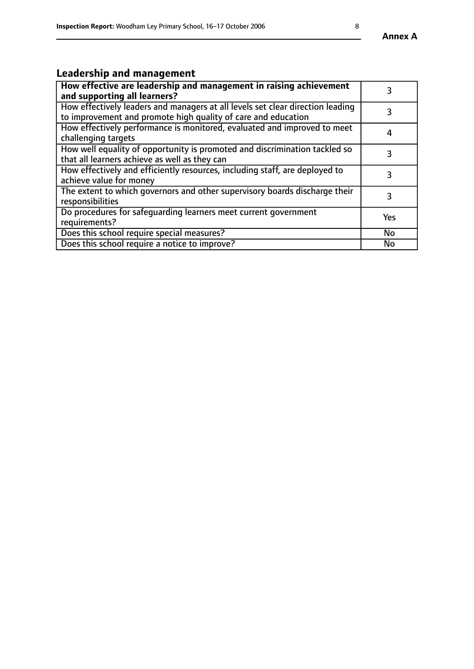# **Leadership and management**

| How effective are leadership and management in raising achievement<br>and supporting all learners?                                              |           |
|-------------------------------------------------------------------------------------------------------------------------------------------------|-----------|
| How effectively leaders and managers at all levels set clear direction leading<br>to improvement and promote high quality of care and education |           |
| How effectively performance is monitored, evaluated and improved to meet<br>challenging targets                                                 | 4         |
| How well equality of opportunity is promoted and discrimination tackled so<br>that all learners achieve as well as they can                     | 3         |
| How effectively and efficiently resources, including staff, are deployed to<br>achieve value for money                                          | 3         |
| The extent to which governors and other supervisory boards discharge their<br>responsibilities                                                  | 3         |
| Do procedures for safequarding learners meet current government<br>requirements?                                                                | Yes       |
| Does this school require special measures?                                                                                                      | No        |
| Does this school require a notice to improve?                                                                                                   | <b>No</b> |